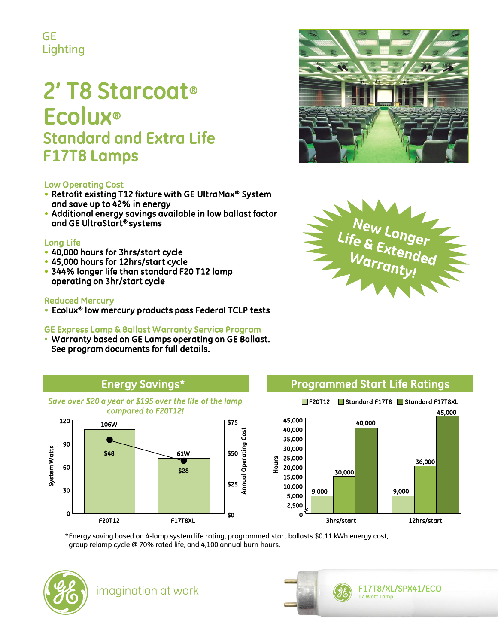## **GE** Lighting

## 2' T8 Starcoat® **Ecolux®** Standard and Extra Life F17T8 Lamps

## Low Operating Cost

- Retrofit existing T12 fixture with GE UltraMax® System and save up to 42% in energy
- Additional energy savings available in low ballast factor and GE UltraStart® systems

## Long Life

- 40,000 hours for 3hrs/start cycle
- 45,000 hours for 12hrs/start cycle

106W

\$48

• 344% longer life than standard F20 T12 lamp operating on 3hr/start cycle

## Reduced Mercury

• Ecolux® low mercury products pass Federal TCLP tests

## GE Express Lamp & Ballast Warranty Service Program

*Save over \$20 a year or \$195 over the life of the lamp compared to F20T12!* 

• Warranty based on GE Lamps operating on GE Ballast. See program documents for full details.

61W

\$28





### F20T12 Standard F17T8 Standard F17T8XL 0 2,500 5,000 10,000 15,000 20,000 25,000 30,000 35,000 40,000 45,000  $\begin{array}{c|c}\n\text{9} & 25,000 \\
20,000 \\
15,000 \\
10,000 \\
5,000 \\
2,500\n\end{array}$ <br>  $\begin{array}{c}\n36,000 \\
30,000 \\
9,000 \\
30 \text{frs/start}\n\end{array}$ <br>  $\begin{array}{c}\n36,000 \\
9,000 \\
30,000 \\
30 \text{frs/start}\n\end{array}$ 30,000 36,000 9,000 9,000 40,000 45,000

\$6

\*Energy saving based on 4-lamp system life rating, programmed start ballasts \$0.11 kWh energy cost, group relamp cycle @ 70% rated life, and 4,100 annual burn hours.

\$0

\$25

\$50

Annual Operating Cost

nnual Operating Cost

\$75

Energy Savings\* Programmed Start Life Ratings



0

30

60

System Watts

System Watts

90

120

imagination at work

F20T12 F17T8XL

**F17T8/XL/SPX41/ECO 17 Watt Lamp**